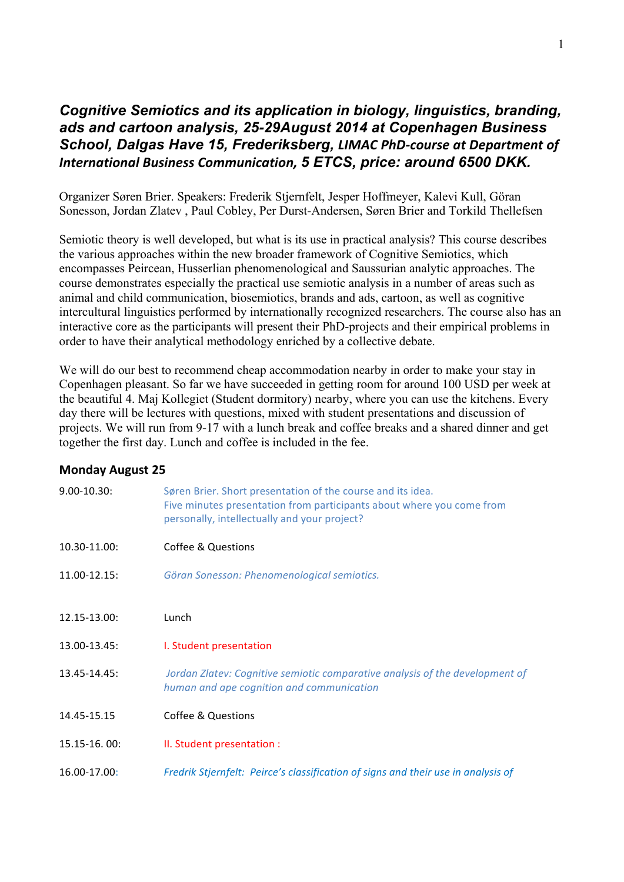#### *Cognitive Semiotics and its application in biology, linguistics, branding, ads and cartoon analysis, 25-29August 2014 at Copenhagen Business School, Dalgas Have 15, Frederiksberg, LIMAC PhD-course at Department of International Business Communication, 5 ETCS, price: around 6500 DKK.*

Organizer Søren Brier. Speakers: Frederik Stjernfelt, Jesper Hoffmeyer, Kalevi Kull, Göran Sonesson, Jordan Zlatev , Paul Cobley, Per Durst-Andersen, Søren Brier and Torkild Thellefsen

Semiotic theory is well developed, but what is its use in practical analysis? This course describes the various approaches within the new broader framework of Cognitive Semiotics, which encompasses Peircean, Husserlian phenomenological and Saussurian analytic approaches. The course demonstrates especially the practical use semiotic analysis in a number of areas such as animal and child communication, biosemiotics, brands and ads, cartoon, as well as cognitive intercultural linguistics performed by internationally recognized researchers. The course also has an interactive core as the participants will present their PhD-projects and their empirical problems in order to have their analytical methodology enriched by a collective debate.

We will do our best to recommend cheap accommodation nearby in order to make your stay in Copenhagen pleasant. So far we have succeeded in getting room for around 100 USD per week at the beautiful 4. Maj Kollegiet (Student dormitory) nearby, where you can use the kitchens. Every day there will be lectures with questions, mixed with student presentations and discussion of projects. We will run from 9-17 with a lunch break and coffee breaks and a shared dinner and get together the first day. Lunch and coffee is included in the fee.

#### **Monday August 25**

| $9.00 - 10.30$ :  | Søren Brier. Short presentation of the course and its idea.<br>Five minutes presentation from participants about where you come from<br>personally, intellectually and your project? |
|-------------------|--------------------------------------------------------------------------------------------------------------------------------------------------------------------------------------|
| 10.30-11.00:      | <b>Coffee &amp; Questions</b>                                                                                                                                                        |
| $11.00 - 12.15$ : | Göran Sonesson: Phenomenological semiotics.                                                                                                                                          |
|                   |                                                                                                                                                                                      |
| 12.15-13.00:      | Lunch                                                                                                                                                                                |
| 13.00-13.45:      | I. Student presentation                                                                                                                                                              |
| 13.45-14.45:      | Jordan Zlatev: Cognitive semiotic comparative analysis of the development of<br>human and ape cognition and communication                                                            |
| 14.45-15.15       | <b>Coffee &amp; Questions</b>                                                                                                                                                        |
| 15.15-16.00:      | II. Student presentation :                                                                                                                                                           |
| 16.00-17.00:      | Fredrik Stjernfelt: Peirce's classification of signs and their use in analysis of                                                                                                    |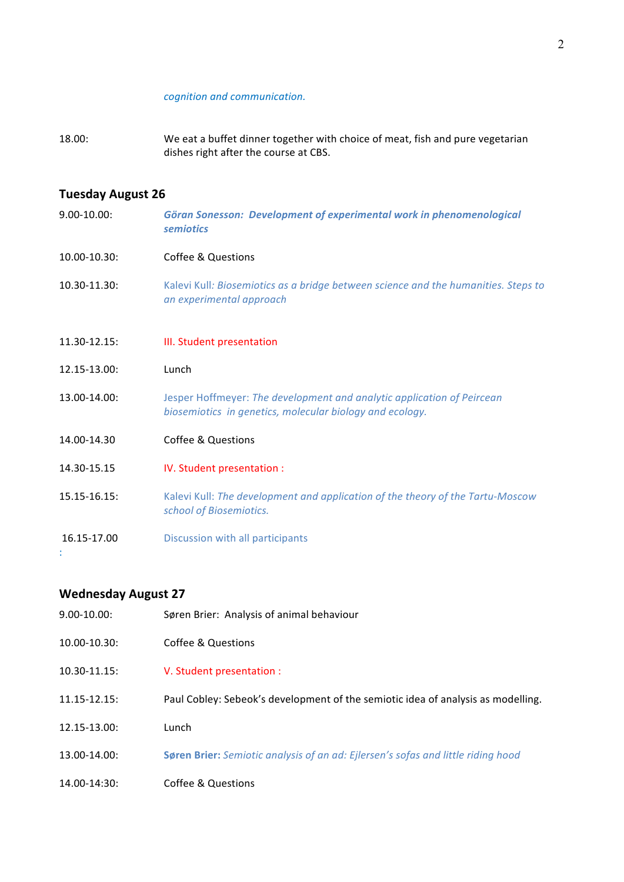#### *cognition and communication.*

18.00: We eat a buffet dinner together with choice of meat, fish and pure vegetarian dishes right after the course at CBS.

# **Tuesday August 26**

| $9.00 - 10.00$ :  | Göran Sonesson: Development of experimental work in phenomenological<br><b>semiotics</b>                                           |
|-------------------|------------------------------------------------------------------------------------------------------------------------------------|
| 10.00-10.30:      | Coffee & Questions                                                                                                                 |
| 10.30-11.30:      | Kalevi Kull: Biosemiotics as a bridge between science and the humanities. Steps to<br>an experimental approach                     |
| $11.30 - 12.15$ : | III. Student presentation                                                                                                          |
| 12.15-13.00:      | Lunch                                                                                                                              |
| 13.00-14.00:      | Jesper Hoffmeyer: The development and analytic application of Peircean<br>biosemiotics in genetics, molecular biology and ecology. |
| 14.00-14.30       | <b>Coffee &amp; Questions</b>                                                                                                      |
| 14.30-15.15       | IV. Student presentation :                                                                                                         |
| 15.15-16.15:      | Kalevi Kull: The development and application of the theory of the Tartu-Moscow<br>school of Biosemiotics.                          |
| 16.15-17.00       | Discussion with all participants                                                                                                   |

# **Wednesday August 27**

| $9.00 - 10.00$ :  | Søren Brier: Analysis of animal behaviour                                               |
|-------------------|-----------------------------------------------------------------------------------------|
| $10.00 - 10.30$ : | Coffee & Questions                                                                      |
| $10.30 - 11.15$ : | V. Student presentation :                                                               |
| $11.15 - 12.15$ : | Paul Cobley: Sebeok's development of the semiotic idea of analysis as modelling.        |
| 12.15-13.00:      | Lunch                                                                                   |
| 13.00-14.00:      | <b>Søren Brier:</b> Semiotic analysis of an ad: Ejlersen's sofas and little riding hood |
| 14.00-14:30:      | Coffee & Questions                                                                      |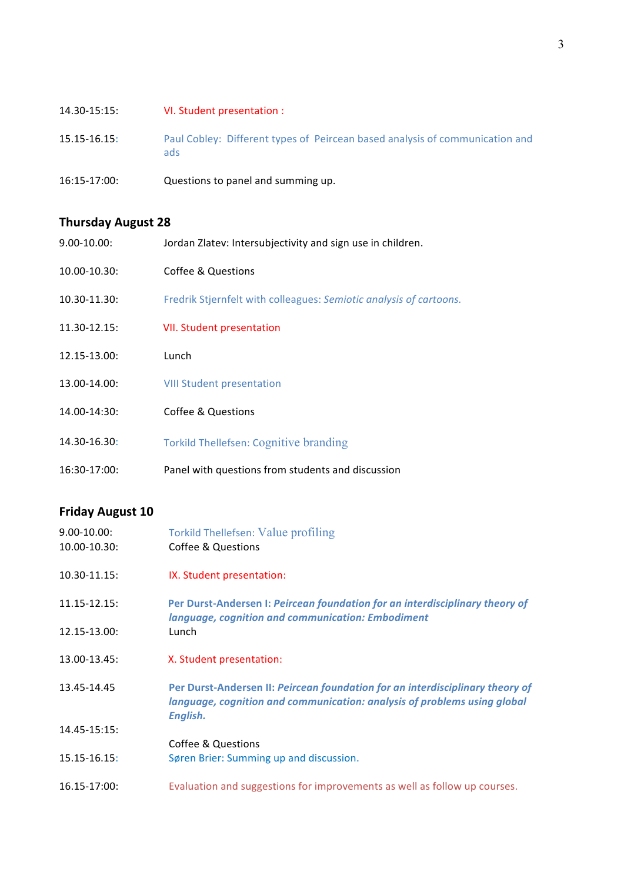| $14.30 - 15:15:$ | VI. Student presentation :                                                          |
|------------------|-------------------------------------------------------------------------------------|
| $15.15 - 16.15$  | Paul Cobley: Different types of Peircean based analysis of communication and<br>ads |
| 16:15-17:00:     | Questions to panel and summing up.                                                  |

# **Thursday August 28**

| $9.00 - 10.00$ :  | Jordan Zlatev: Intersubjectivity and sign use in children.         |
|-------------------|--------------------------------------------------------------------|
| $10.00 - 10.30$ : | Coffee & Questions                                                 |
| $10.30 - 11.30$ : | Fredrik Stjernfelt with colleagues: Semiotic analysis of cartoons. |
| 11.30-12.15:      | <b>VII. Student presentation</b>                                   |
| 12.15-13.00:      | Lunch                                                              |
| 13.00-14.00:      | <b>VIII Student presentation</b>                                   |
| 14.00-14:30:      | Coffee & Questions                                                 |
| 14.30-16.30:      | Torkild Thellefsen: Cognitive branding                             |
| 16:30-17:00:      | Panel with questions from students and discussion                  |

# **Friday August 10**

| $9.00 - 10.00$ :<br>10.00-10.30: | <b>Torkild Thellefsen: Value profiling</b><br><b>Coffee &amp; Questions</b>                                                                                           |
|----------------------------------|-----------------------------------------------------------------------------------------------------------------------------------------------------------------------|
| 10.30-11.15:                     | IX. Student presentation:                                                                                                                                             |
| $11.15 - 12.15$ :                | Per Durst-Andersen I: Peircean foundation for an interdisciplinary theory of<br>language, cognition and communication: Embodiment                                     |
| 12.15-13.00:                     | Lunch                                                                                                                                                                 |
| 13.00-13.45:                     | X. Student presentation:                                                                                                                                              |
| 13.45-14.45                      | Per Durst-Andersen II: Peircean foundation for an interdisciplinary theory of<br>language, cognition and communication: analysis of problems using global<br>English. |
| 14.45-15:15:                     |                                                                                                                                                                       |
|                                  | <b>Coffee &amp; Questions</b>                                                                                                                                         |
| $15.15 - 16.15$                  | Søren Brier: Summing up and discussion.                                                                                                                               |
| $16.15 - 17:00$ :                | Evaluation and suggestions for improvements as well as follow up courses.                                                                                             |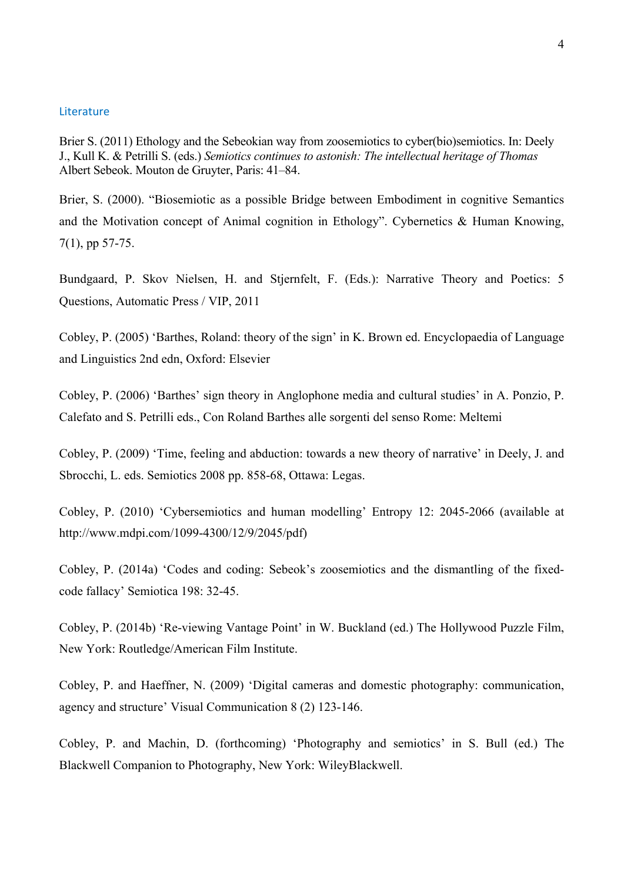#### Literature

Brier S. (2011) Ethology and the Sebeokian way from zoosemiotics to cyber(bio)semiotics. In: Deely J., Kull K. & Petrilli S. (eds.) *Semiotics continues to astonish: The intellectual heritage of Thomas* Albert Sebeok. Mouton de Gruyter, Paris: 41–84.

Brier, S. (2000). "Biosemiotic as a possible Bridge between Embodiment in cognitive Semantics and the Motivation concept of Animal cognition in Ethology". Cybernetics & Human Knowing, 7(1), pp 57-75.

Bundgaard, P. Skov Nielsen, H. and Stjernfelt, F. (Eds.): Narrative Theory and Poetics: 5 Questions, Automatic Press / VIP, 2011

Cobley, P. (2005) 'Barthes, Roland: theory of the sign' in K. Brown ed. Encyclopaedia of Language and Linguistics 2nd edn, Oxford: Elsevier

Cobley, P. (2006) 'Barthes' sign theory in Anglophone media and cultural studies' in A. Ponzio, P. Calefato and S. Petrilli eds., Con Roland Barthes alle sorgenti del senso Rome: Meltemi

Cobley, P. (2009) 'Time, feeling and abduction: towards a new theory of narrative' in Deely, J. and Sbrocchi, L. eds. Semiotics 2008 pp. 858-68, Ottawa: Legas.

Cobley, P. (2010) 'Cybersemiotics and human modelling' Entropy 12: 2045-2066 (available at http://www.mdpi.com/1099-4300/12/9/2045/pdf)

Cobley, P. (2014a) 'Codes and coding: Sebeok's zoosemiotics and the dismantling of the fixedcode fallacy' Semiotica 198: 32-45.

Cobley, P. (2014b) 'Re-viewing Vantage Point' in W. Buckland (ed.) The Hollywood Puzzle Film, New York: Routledge/American Film Institute.

Cobley, P. and Haeffner, N. (2009) 'Digital cameras and domestic photography: communication, agency and structure' Visual Communication 8 (2) 123-146.

Cobley, P. and Machin, D. (forthcoming) 'Photography and semiotics' in S. Bull (ed.) The Blackwell Companion to Photography, New York: WileyBlackwell.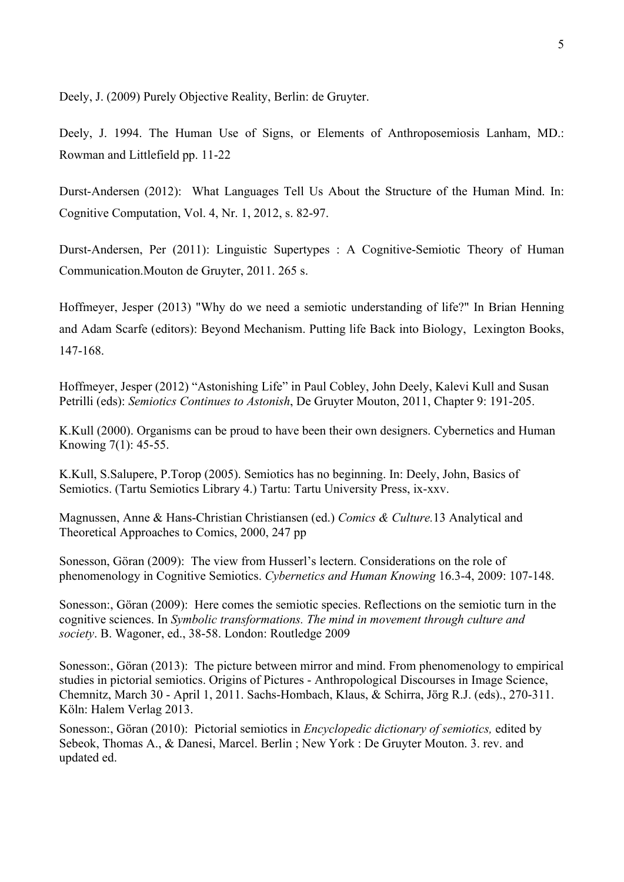Deely, J. (2009) Purely Objective Reality, Berlin: de Gruyter.

Deely, J. 1994. The Human Use of Signs, or Elements of Anthroposemiosis Lanham, MD.: Rowman and Littlefield pp. 11-22

Durst-Andersen (2012): What Languages Tell Us About the Structure of the Human Mind. In: Cognitive Computation, Vol. 4, Nr. 1, 2012, s. 82-97.

Durst-Andersen, Per (2011): Linguistic Supertypes : A Cognitive-Semiotic Theory of Human Communication.Mouton de Gruyter, 2011. 265 s.

Hoffmeyer, Jesper (2013) "Why do we need a semiotic understanding of life?" In Brian Henning and Adam Scarfe (editors): Beyond Mechanism. Putting life Back into Biology, Lexington Books, 147-168.

Hoffmeyer, Jesper (2012) "Astonishing Life" in Paul Cobley, John Deely, Kalevi Kull and Susan Petrilli (eds): *Semiotics Continues to Astonish*, De Gruyter Mouton, 2011, Chapter 9: 191-205.

K.Kull (2000). Organisms can be proud to have been their own designers. Cybernetics and Human Knowing 7(1): 45-55.

K.Kull, S.Salupere, P.Torop (2005). Semiotics has no beginning. In: Deely, John, Basics of Semiotics. (Tartu Semiotics Library 4.) Tartu: Tartu University Press, ix-xxv.

Magnussen, Anne & Hans-Christian Christiansen (ed.) *Comics & Culture.*13 Analytical and Theoretical Approaches to Comics, 2000, 247 pp

Sonesson, Göran (2009): The view from Husserl's lectern. Considerations on the role of phenomenology in Cognitive Semiotics. *Cybernetics and Human Knowing* 16.3-4, 2009: 107-148.

Sonesson:, Göran (2009): Here comes the semiotic species. Reflections on the semiotic turn in the cognitive sciences. In *Symbolic transformations. The mind in movement through culture and society*. B. Wagoner, ed., 38-58. London: Routledge 2009

Sonesson:, Göran (2013): The picture between mirror and mind. From phenomenology to empirical studies in pictorial semiotics. Origins of Pictures - Anthropological Discourses in Image Science, Chemnitz, March 30 - April 1, 2011. Sachs-Hombach, Klaus, & Schirra, Jörg R.J. (eds)., 270-311. Köln: Halem Verlag 2013.

Sonesson:, Göran (2010): Pictorial semiotics in *Encyclopedic dictionary of semiotics,* edited by Sebeok, Thomas A., & Danesi, Marcel. Berlin ; New York : De Gruyter Mouton. 3. rev. and updated ed.